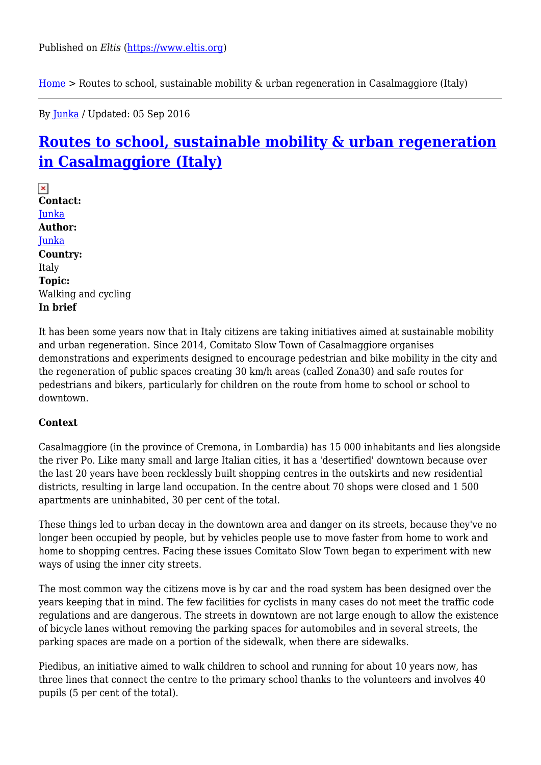$Home > Routers to school, sustainable mobility & urban regeneration in Casalmaggiore (Italy)$  $Home > Routers to school, sustainable mobility & urban regeneration in Casalmaggiore (Italy)$  $Home > Routers to school, sustainable mobility & urban regeneration in Casalmaggiore (Italy)$ </u>

By [Junka](https://www.eltis.org/users/junka) / Updated: 05 Sep 2016

# **[Routes to school, sustainable mobility & urban regeneration](https://www.eltis.org/discover/case-studies/routes-school-sustainable-mobility-urban-regeneration-casalmaggiore-italy) [in Casalmaggiore \(Italy\)](https://www.eltis.org/discover/case-studies/routes-school-sustainable-mobility-urban-regeneration-casalmaggiore-italy)**

 $\pmb{\times}$ **Contact:**  [Junka](https://www.eltis.org/users/junka) **Author:**  [Junka](https://www.eltis.org/users/junka) **Country:**  Italy **Topic:**  Walking and cycling **In brief** 

It has been some years now that in Italy citizens are taking initiatives aimed at sustainable mobility and urban regeneration. Since 2014, Comitato Slow Town of Casalmaggiore organises demonstrations and experiments designed to encourage pedestrian and bike mobility in the city and the regeneration of public spaces creating 30 km/h areas (called Zona30) and safe routes for pedestrians and bikers, particularly for children on the route from home to school or school to downtown.

#### **Context**

Casalmaggiore (in the province of Cremona, in Lombardia) has 15 000 inhabitants and lies alongside the river Po. Like many small and large Italian cities, it has a 'desertified' downtown because over the last 20 years have been recklessly built shopping centres in the outskirts and new residential districts, resulting in large land occupation. In the centre about 70 shops were closed and 1 500 apartments are uninhabited, 30 per cent of the total.

These things led to urban decay in the downtown area and danger on its streets, because they've no longer been occupied by people, but by vehicles people use to move faster from home to work and home to shopping centres. Facing these issues Comitato Slow Town began to experiment with new ways of using the inner city streets.

The most common way the citizens move is by car and the road system has been designed over the years keeping that in mind. The few facilities for cyclists in many cases do not meet the traffic code regulations and are dangerous. The streets in downtown are not large enough to allow the existence of bicycle lanes without removing the parking spaces for automobiles and in several streets, the parking spaces are made on a portion of the sidewalk, when there are sidewalks.

Piedibus, an initiative aimed to walk children to school and running for about 10 years now, has three lines that connect the centre to the primary school thanks to the volunteers and involves 40 pupils (5 per cent of the total).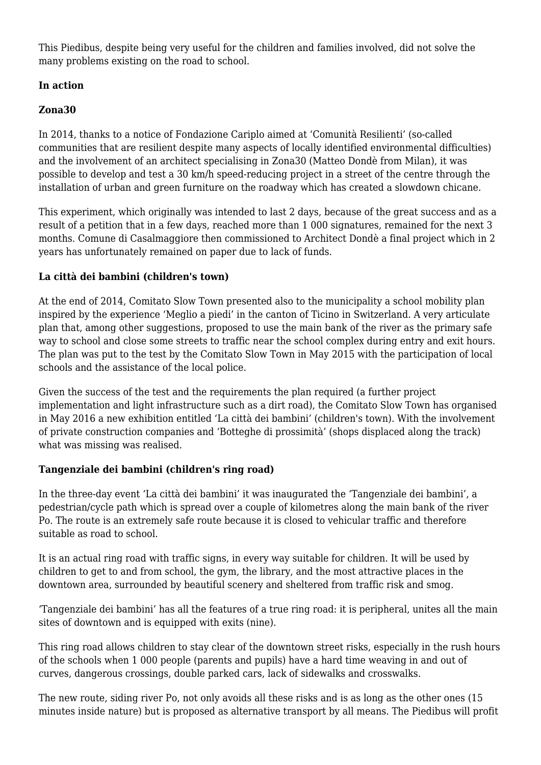This Piedibus, despite being very useful for the children and families involved, did not solve the many problems existing on the road to school.

# **In action**

# **Zona30**

In 2014, thanks to a notice of Fondazione Cariplo aimed at 'Comunità Resilienti' (so-called communities that are resilient despite many aspects of locally identified environmental difficulties) and the involvement of an architect specialising in Zona30 (Matteo Dondè from Milan), it was possible to develop and test a 30 km/h speed-reducing project in a street of the centre through the installation of urban and green furniture on the roadway which has created a slowdown chicane.

This experiment, which originally was intended to last 2 days, because of the great success and as a result of a petition that in a few days, reached more than 1 000 signatures, remained for the next 3 months. Comune di Casalmaggiore then commissioned to Architect Dondè a final project which in 2 years has unfortunately remained on paper due to lack of funds.

# **La città dei bambini (children's town)**

At the end of 2014, Comitato Slow Town presented also to the municipality a school mobility plan inspired by the experience 'Meglio a piedi' in the canton of Ticino in Switzerland. A very articulate plan that, among other suggestions, proposed to use the main bank of the river as the primary safe way to school and close some streets to traffic near the school complex during entry and exit hours. The plan was put to the test by the Comitato Slow Town in May 2015 with the participation of local schools and the assistance of the local police.

Given the success of the test and the requirements the plan required (a further project implementation and light infrastructure such as a dirt road), the Comitato Slow Town has organised in May 2016 a new exhibition entitled 'La città dei bambini' (children's town). With the involvement of private construction companies and 'Botteghe di prossimità' (shops displaced along the track) what was missing was realised.

# **Tangenziale dei bambini (children's ring road)**

In the three-day event 'La città dei bambini' it was inaugurated the 'Tangenziale dei bambini', a pedestrian/cycle path which is spread over a couple of kilometres along the main bank of the river Po. The route is an extremely safe route because it is closed to vehicular traffic and therefore suitable as road to school.

It is an actual ring road with traffic signs, in every way suitable for children. It will be used by children to get to and from school, the gym, the library, and the most attractive places in the downtown area, surrounded by beautiful scenery and sheltered from traffic risk and smog.

'Tangenziale dei bambini' has all the features of a true ring road: it is peripheral, unites all the main sites of downtown and is equipped with exits (nine).

This ring road allows children to stay clear of the downtown street risks, especially in the rush hours of the schools when 1 000 people (parents and pupils) have a hard time weaving in and out of curves, dangerous crossings, double parked cars, lack of sidewalks and crosswalks.

The new route, siding river Po, not only avoids all these risks and is as long as the other ones (15 minutes inside nature) but is proposed as alternative transport by all means. The Piedibus will profit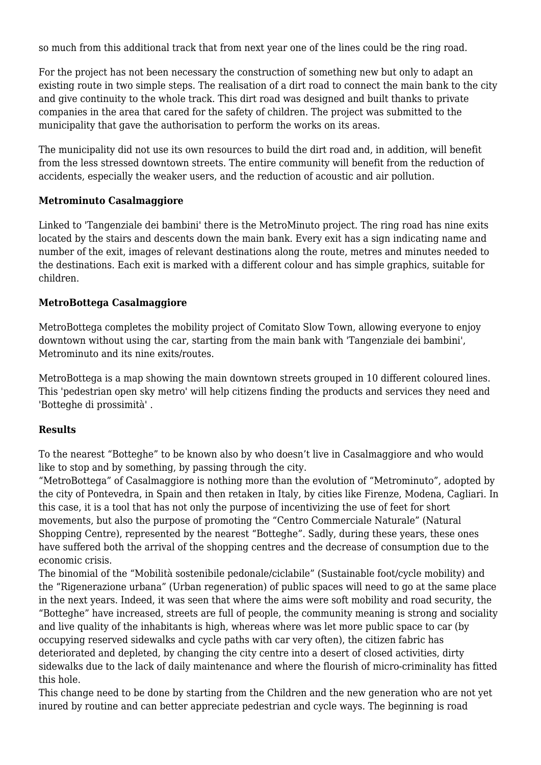so much from this additional track that from next year one of the lines could be the ring road.

For the project has not been necessary the construction of something new but only to adapt an existing route in two simple steps. The realisation of a dirt road to connect the main bank to the city and give continuity to the whole track. This dirt road was designed and built thanks to private companies in the area that cared for the safety of children. The project was submitted to the municipality that gave the authorisation to perform the works on its areas.

The municipality did not use its own resources to build the dirt road and, in addition, will benefit from the less stressed downtown streets. The entire community will benefit from the reduction of accidents, especially the weaker users, and the reduction of acoustic and air pollution.

#### **Metrominuto Casalmaggiore**

Linked to 'Tangenziale dei bambini' there is the MetroMinuto project. The ring road has nine exits located by the stairs and descents down the main bank. Every exit has a sign indicating name and number of the exit, images of relevant destinations along the route, metres and minutes needed to the destinations. Each exit is marked with a different colour and has simple graphics, suitable for children.

# **MetroBottega Casalmaggiore**

MetroBottega completes the mobility project of Comitato Slow Town, allowing everyone to enjoy downtown without using the car, starting from the main bank with 'Tangenziale dei bambini', Metrominuto and its nine exits/routes.

MetroBottega is a map showing the main downtown streets grouped in 10 different coloured lines. This 'pedestrian open sky metro' will help citizens finding the products and services they need and 'Botteghe di prossimità' .

# **Results**

To the nearest "Botteghe" to be known also by who doesn't live in Casalmaggiore and who would like to stop and by something, by passing through the city.

"MetroBottega" of Casalmaggiore is nothing more than the evolution of "Metrominuto", adopted by the city of Pontevedra, in Spain and then retaken in Italy, by cities like Firenze, Modena, Cagliari. In this case, it is a tool that has not only the purpose of incentivizing the use of feet for short movements, but also the purpose of promoting the "Centro Commerciale Naturale" (Natural Shopping Centre), represented by the nearest "Botteghe". Sadly, during these years, these ones have suffered both the arrival of the shopping centres and the decrease of consumption due to the economic crisis.

The binomial of the "Mobilità sostenibile pedonale/ciclabile" (Sustainable foot/cycle mobility) and the "Rigenerazione urbana" (Urban regeneration) of public spaces will need to go at the same place in the next years. Indeed, it was seen that where the aims were soft mobility and road security, the "Botteghe" have increased, streets are full of people, the community meaning is strong and sociality and live quality of the inhabitants is high, whereas where was let more public space to car (by occupying reserved sidewalks and cycle paths with car very often), the citizen fabric has deteriorated and depleted, by changing the city centre into a desert of closed activities, dirty sidewalks due to the lack of daily maintenance and where the flourish of micro-criminality has fitted this hole.

This change need to be done by starting from the Children and the new generation who are not yet inured by routine and can better appreciate pedestrian and cycle ways. The beginning is road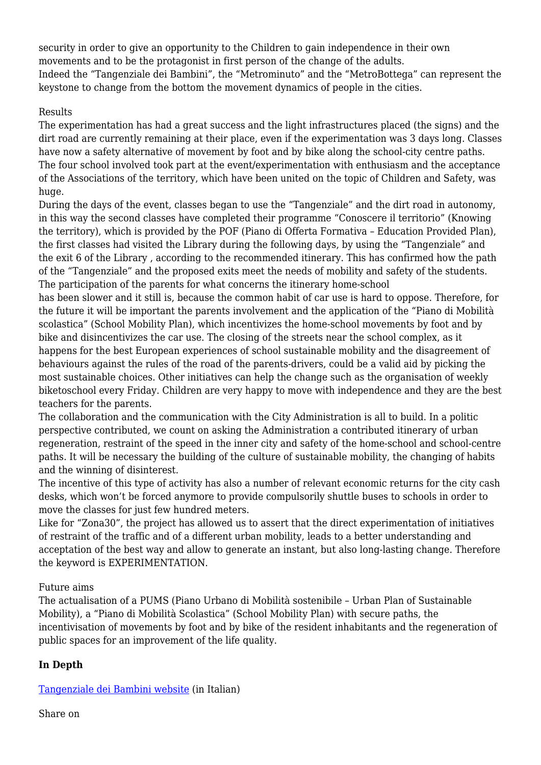security in order to give an opportunity to the Children to gain independence in their own movements and to be the protagonist in first person of the change of the adults. Indeed the "Tangenziale dei Bambini", the "Metrominuto" and the "MetroBottega" can represent the keystone to change from the bottom the movement dynamics of people in the cities.

#### Results

The experimentation has had a great success and the light infrastructures placed (the signs) and the dirt road are currently remaining at their place, even if the experimentation was 3 days long. Classes have now a safety alternative of movement by foot and by bike along the school-city centre paths. The four school involved took part at the event/experimentation with enthusiasm and the acceptance of the Associations of the territory, which have been united on the topic of Children and Safety, was huge.

During the days of the event, classes began to use the "Tangenziale" and the dirt road in autonomy, in this way the second classes have completed their programme "Conoscere il territorio" (Knowing the territory), which is provided by the POF (Piano di Offerta Formativa – Education Provided Plan), the first classes had visited the Library during the following days, by using the "Tangenziale" and the exit 6 of the Library , according to the recommended itinerary. This has confirmed how the path of the "Tangenziale" and the proposed exits meet the needs of mobility and safety of the students. The participation of the parents for what concerns the itinerary home-school

has been slower and it still is, because the common habit of car use is hard to oppose. Therefore, for the future it will be important the parents involvement and the application of the "Piano di Mobilità scolastica" (School Mobility Plan), which incentivizes the home-school movements by foot and by bike and disincentivizes the car use. The closing of the streets near the school complex, as it happens for the best European experiences of school sustainable mobility and the disagreement of behaviours against the rules of the road of the parents-drivers, could be a valid aid by picking the most sustainable choices. Other initiatives can help the change such as the organisation of weekly biketoschool every Friday. Children are very happy to move with independence and they are the best teachers for the parents.

The collaboration and the communication with the City Administration is all to build. In a politic perspective contributed, we count on asking the Administration a contributed itinerary of urban regeneration, restraint of the speed in the inner city and safety of the home-school and school-centre paths. It will be necessary the building of the culture of sustainable mobility, the changing of habits and the winning of disinterest.

The incentive of this type of activity has also a number of relevant economic returns for the city cash desks, which won't be forced anymore to provide compulsorily shuttle buses to schools in order to move the classes for just few hundred meters.

Like for "Zona30", the project has allowed us to assert that the direct experimentation of initiatives of restraint of the traffic and of a different urban mobility, leads to a better understanding and acceptation of the best way and allow to generate an instant, but also long-lasting change. Therefore the keyword is EXPERIMENTATION.

# Future aims

The actualisation of a PUMS (Piano Urbano di Mobilità sostenibile – Urban Plan of Sustainable Mobility), a "Piano di Mobilità Scolastica" (School Mobility Plan) with secure paths, the incentivisation of movements by foot and by bike of the resident inhabitants and the regeneration of public spaces for an improvement of the life quality.

# **In Depth**

[Tangenziale dei Bambini website](http://tangenzialedeibambini.blogspot.it/) (in Italian)